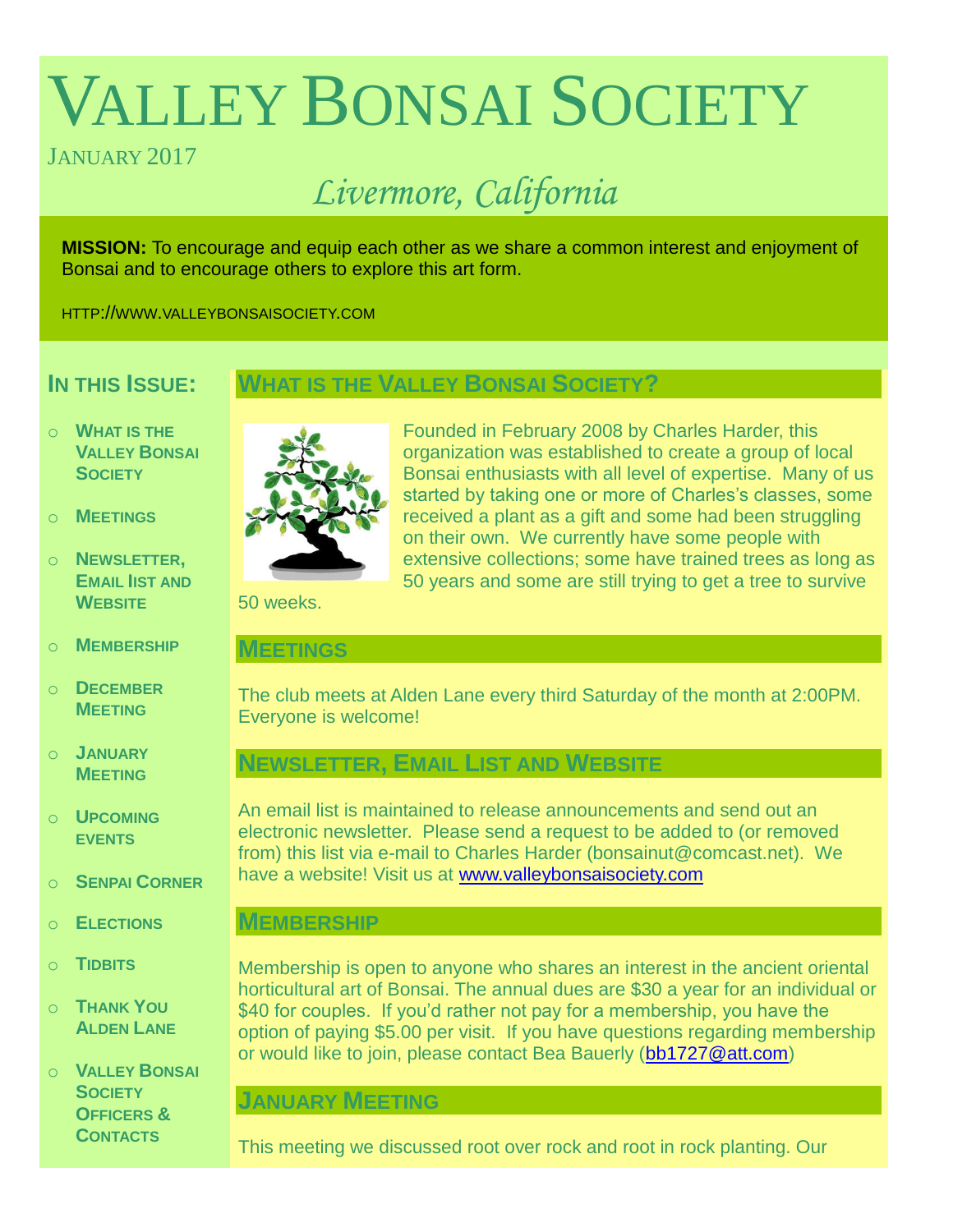# VALLEY BONSAI SOCIETY

# JANUARY 2017

# *Livermore, California*

**MISSION:** To encourage and equip each other as we share a common interest and enjoyment of Bonsai and to encourage others to explore this art form.

HTTP://WWW.VALLEYBONSAISOCIETY.COM

# **IN THIS ISSUE:**

# **WHAT IS THE VALLEY BONSAI SOCIETY?**

- o **WHAT IS THE VALLEY BONSAI SOCIETY**
- o **MEETINGS**
- o **NEWSLETTER, EMAIL IIST AND WEBSITE**
- o **MEMBERSHIP**
- o **DECEMBER MEETING**
- o **JANUARY MEETING**
- o **UPCOMING EVENTS**
- o **SENPAI CORNER**
- o **ELECTIONS**
- o **TIDBITS**
- o **THANK YOU ALDEN LANE**
- o **VALLEY BONSAI SOCIETY OFFICERS & CONTACTS**



Founded in February 2008 by Charles Harder, this organization was established to create a group of local Bonsai enthusiasts with all level of expertise. Many of us started by taking one or more of Charles's classes, some received a plant as a gift and some had been struggling on their own. We currently have some people with extensive collections; some have trained trees as long as 50 years and some are still trying to get a tree to survive

50 weeks.

#### **MEETINGS**

The club meets at Alden Lane every third Saturday of the month at 2:00PM. Everyone is welcome!

# **NEWSLETTER, EMAIL LIST AND WEBSITE**

An email list is maintained to release announcements and send out an electronic newsletter. Please send a request to be added to (or removed from) this list via e-mail to Charles Harder (bonsainut@comcast.net). We have a website! Visit us at [www.valleybonsaisociety.com](http://www.valleybonsaisociety.com/)

# **MEMBERSHIP**

Membership is open to anyone who shares an interest in the ancient oriental horticultural art of Bonsai. The annual dues are \$30 a year for an individual or \$40 for couples. If you'd rather not pay for a membership, you have the option of paying \$5.00 per visit. If you have questions regarding membership or would like to join, please contact Bea Bauerly [\(bb1727@att.com\)](mailto:bb1727@att.com)

# **JANUARY MEETING**

This meeting we discussed root over rock and root in rock planting. Our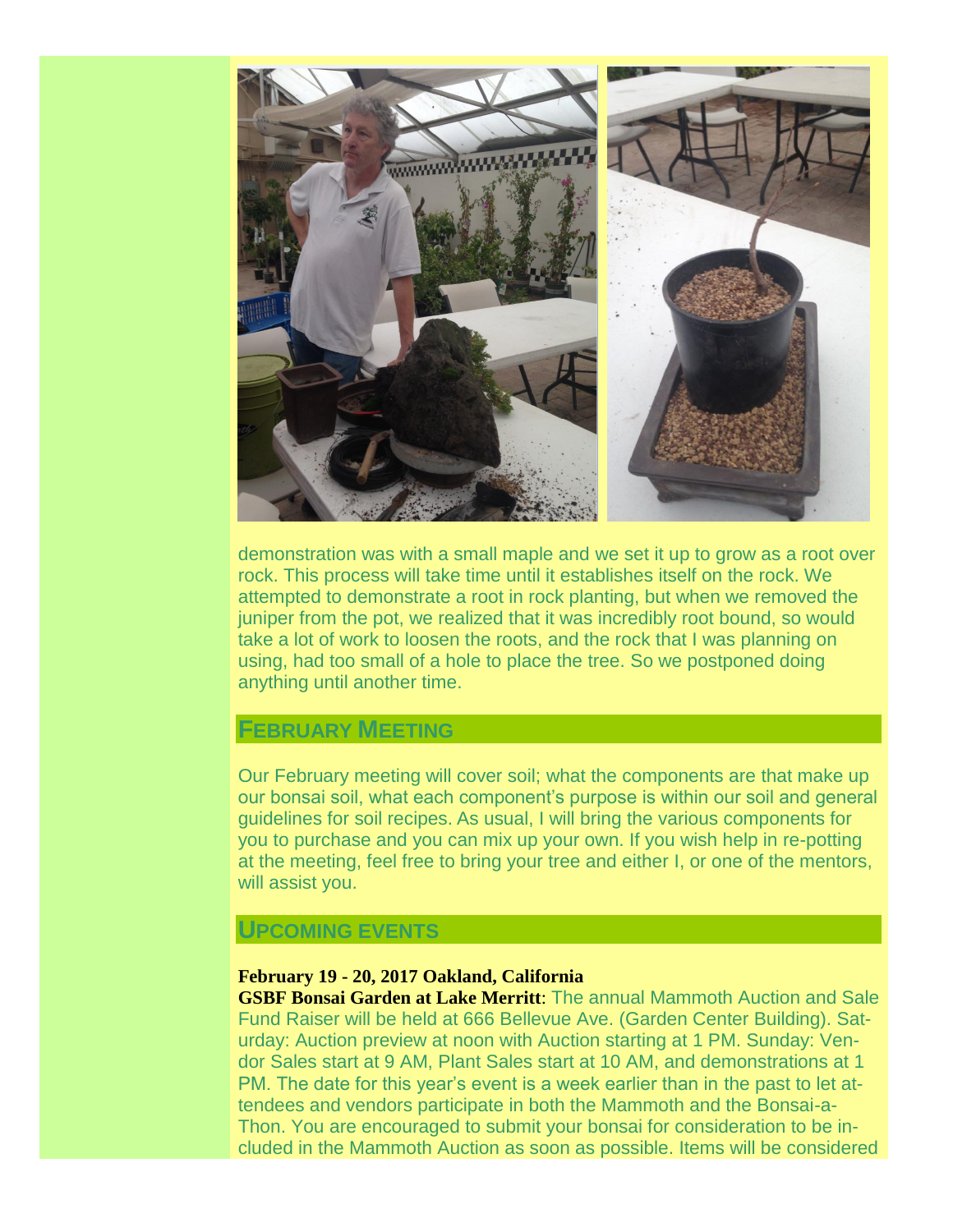

demonstration was with a small maple and we set it up to grow as a root over rock. This process will take time until it establishes itself on the rock. We attempted to demonstrate a root in rock planting, but when we removed the juniper from the pot, we realized that it was incredibly root bound, so would take a lot of work to loosen the roots, and the rock that I was planning on using, had too small of a hole to place the tree. So we postponed doing anything until another time.

# **FEBRUARY MEETING**

Our February meeting will cover soil; what the components are that make up our bonsai soil, what each component's purpose is within our soil and general guidelines for soil recipes. As usual, I will bring the various components for you to purchase and you can mix up your own. If you wish help in re-potting at the meeting, feel free to bring your tree and either I, or one of the mentors, will assist you.

#### **UPCOMING EVENTS**

#### **February 19 - 20, 2017 Oakland, California**

**GSBF Bonsai Garden at Lake Merritt**: The annual Mammoth Auction and Sale Fund Raiser will be held at 666 Bellevue Ave. (Garden Center Building). Saturday: Auction preview at noon with Auction starting at 1 PM. Sunday: Vendor Sales start at 9 AM, Plant Sales start at 10 AM, and demonstrations at 1 PM. The date for this year's event is a week earlier than in the past to let attendees and vendors participate in both the Mammoth and the Bonsai-a-Thon. You are encouraged to submit your bonsai for consideration to be included in the Mammoth Auction as soon as possible. Items will be considered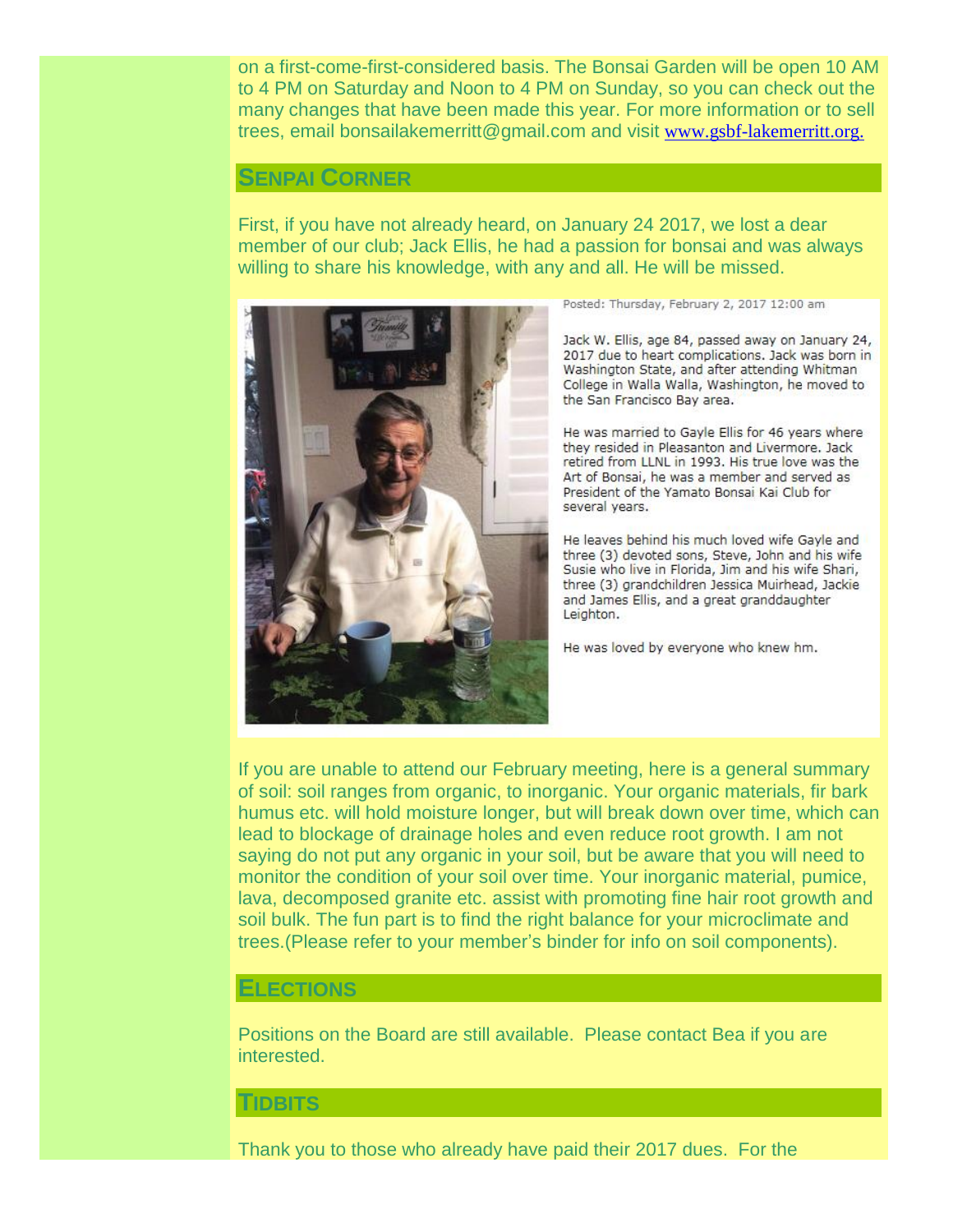on a first-come-first-considered basis. The Bonsai Garden will be open 10 AM to 4 PM on Saturday and Noon to 4 PM on Sunday, so you can check out the many changes that have been made this year. For more information or to sell trees, email bonsailakemerritt@gmail.com and visit [www.gsbf-lakemerritt.org.](http://www.gsbf-lakemerritt.org./) 

#### **SENPAI CORNER**

First, if you have not already heard, on January 24 2017, we lost a dear member of our club; Jack Ellis, he had a passion for bonsai and was always willing to share his knowledge, with any and all. He will be missed.



Posted: Thursday, February 2, 2017 12:00 am

Jack W. Ellis, age 84, passed away on January 24, 2017 due to heart complications. Jack was born in Washington State, and after attending Whitman College in Walla Walla, Washington, he moved to the San Francisco Bay area.

He was married to Gayle Ellis for 46 years where they resided in Pleasanton and Livermore. Jack retired from LLNL in 1993. His true love was the Art of Bonsai, he was a member and served as President of the Yamato Bonsai Kai Club for several years.

He leaves behind his much loved wife Gayle and three (3) devoted sons, Steve, John and his wife Susie who live in Florida, Jim and his wife Shari, three (3) grandchildren Jessica Muirhead, Jackie and James Ellis, and a great granddaughter Leighton.

He was loved by everyone who knew hm.

If you are unable to attend our February meeting, here is a general summary of soil: soil ranges from organic, to inorganic. Your organic materials, fir bark humus etc. will hold moisture longer, but will break down over time, which can lead to blockage of drainage holes and even reduce root growth. I am not saying do not put any organic in your soil, but be aware that you will need to monitor the condition of your soil over time. Your inorganic material, pumice, lava, decomposed granite etc. assist with promoting fine hair root growth and soil bulk. The fun part is to find the right balance for your microclimate and trees.(Please refer to your member's binder for info on soil components).

#### **ELECTIONS**

Positions on the Board are still available. Please contact Bea if you are interested.

#### **TIDBITS**

Thank you to those who already have paid their 2017 dues. For the